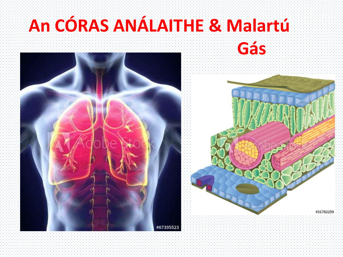## **An CÓRAS ANÁLAITHE & Malartú**

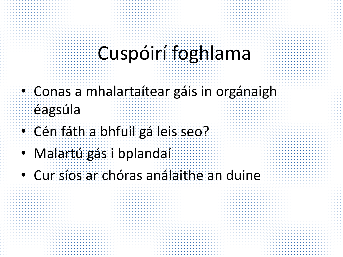### Cuspóirí foghlama

- Conas a mhalartaítear gáis in orgánaigh éagsúla
- Cén fáth a bhfuil gá leis seo?
- Malartú gás i bplandaí
- Cur síos ar chóras análaithe an duine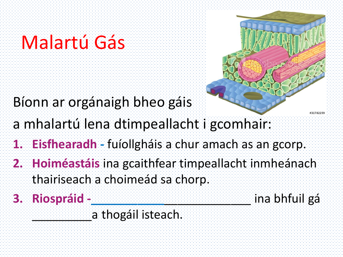## Malartú Gás

Bíonn ar orgánaigh bheo gáis



- a mhalartú lena dtimpeallacht i gcomhair:
- **1. Eisfhearadh -** fuíollgháis a chur amach as an gcorp.
- **2. Hoiméastáis** ina gcaithfear timpeallacht inmheánach thairiseach a choimeád sa chorp.
- **3. Riospráid -\_\_\_\_\_\_\_\_\_\_\_**\_\_\_\_\_\_\_\_\_\_\_\_\_ ina bhfuil gá

a thogáil isteach.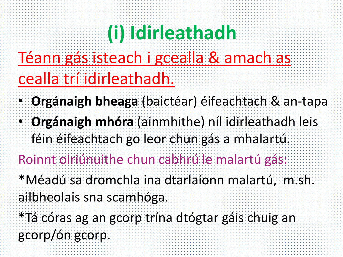# **(i) Idirleathadh**

### Téann gás isteach i gcealla & amach as cealla trí idirleathadh.

- **Orgánaigh bheaga** (baictéar) éifeachtach & an-tapa
- **Orgánaigh mhóra** (ainmhithe) níl idirleathadh leis féin éifeachtach go leor chun gás a mhalartú.

#### Roinnt oiriúnuithe chun cabhrú le malartú gás:

- \*Méadú sa dromchla ina dtarlaíonn malartú, m.sh. ailbheolais sna scamhóga.
- \*Tá córas ag an gcorp trína dtógtar gáis chuig an gcorp/ón gcorp.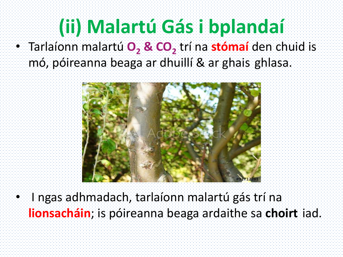# **(ii) Malartú Gás i bplandaí**

• Tarlaíonn malartú **O<sup>2</sup> & CO<sup>2</sup>** trí na **stómaí** den chuid is mó, póireanna beaga ar dhuillí & ar ghais ghlasa.



• I ngas adhmadach, tarlaíonn malartú gás trí na **lionsacháin**; is póireanna beaga ardaithe sa **choirt** iad.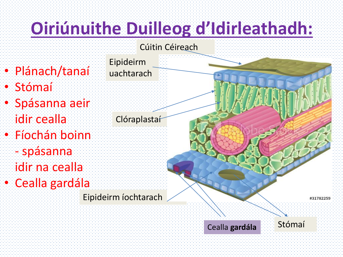# **Oiriúnuithe Duilleog d'Idirleathadh:**



- Plánach/tanaí
- Stómaí
- Spásanna aeir idir cealla
- Fíochán boinn
- spásanna idir na cealla • Cealla gardála

Eipideirm íochtarach

Eipideirm

uachtarach

**Clóraplastaf** 

#31782259

Stómaí

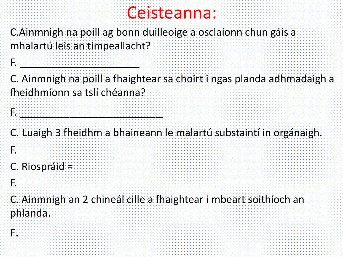#### Ceisteanna:

C.Ainmnigh na poill ag bonn duilleoige a osclaíonn chun gáis a mhalartú leis an timpeallacht?

C. Ainmnigh na poill a fhaightear sa choirt i ngas planda adhmadaigh a fheidhmíonn sa tslí chéanna?

C. Luaigh 3 fheidhm a bhaineann le malartú substaintí in orgánaigh.

C. Riospráid =

F. De state de la componentación de la componentación de la componentación de la componentación de la componen<br>A la componentación de la componentación de la componentación de la componentación de la componentación de la

F.

F.

F. \_\_\_\_\_\_\_\_\_\_\_\_\_\_\_\_\_\_\_\_\_

C. Ainmnigh an 2 chineál cille a fhaightear i mbeart soithíoch an phlanda.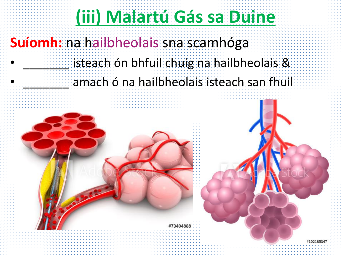### **(iii) Malartú Gás sa Duine**

#### **Suíomh:** na hailbheolais sna scamhóga

#### isteach ón bhfuil chuig na hailbheolais & amach ó na hailbheolais isteach san fhuil



 $\ddot{\bullet}$ 

•

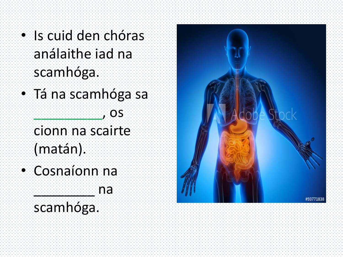- Is cuid den chóras análaithe iad na scamhóga.
- Tá na scamhóga sa  $\cdot$ , os
	- cionn na scairte (matán).

na

• Cosnaíonn na

#### scamhóga.

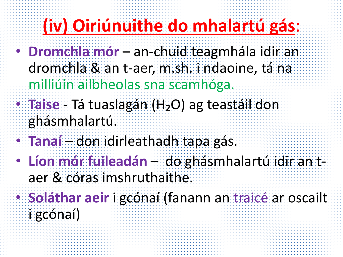# **(iv) Oiriúnuithe do mhalartú gás**:

- **Dromchla mór** an-chuid teagmhála idir an dromchla & an t-aer, m.sh. i ndaoine, tá na milliúin ailbheolas sna scamhóga.
- **Taise** Tá tuaslagán (H₂O) ag teastáil don ghásmhalartú.
- **Tanaí** don idirleathadh tapa gás.
- **Líon mór fuileadán** do ghásmhalartú idir an taer & córas imshruthaithe.
- **Soláthar aeir** i gcónaí (fanann an traicé ar oscailt i gcónaí)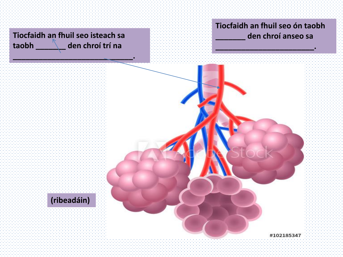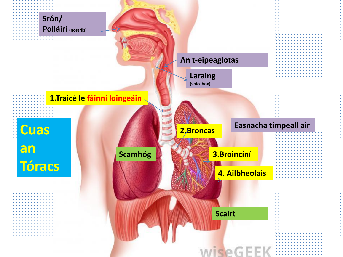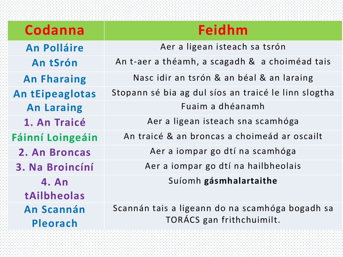| Codanna                       | Feidhm                                                                       |  |
|-------------------------------|------------------------------------------------------------------------------|--|
| <b>An Polláire</b>            | Aer a ligean isteach sa tsrón                                                |  |
| An tSrón                      | An t-aer a théamh, a scagadh & a choiméad tais                               |  |
| <b>An Fharaing</b>            | Nasc idir an tsrón & an béal & an laraing                                    |  |
| <b>An tEipeaglotas</b>        | Stopann sé bia ag dul síos an traicé le linn slogtha                         |  |
| <b>An Laraing</b>             | Fuaim a dhéanamh                                                             |  |
| 1. An Traicé                  | Aer a ligean isteach sna scamhóga                                            |  |
| <b>Fáinní Loingeáin</b>       | An traicé & an broncas a choimeád ar oscailt                                 |  |
| 2. An Broncas                 | Aer a iompar go dtí na scamhóga                                              |  |
| 3. Na Broincíní               | Aer a iompar go dtí na hailbheolais                                          |  |
| 4. An<br>tAilbheolas          | Suíomh gásmhalartaithe                                                       |  |
| <b>An Scannán</b><br>Pleorach | Scannán tais a ligeann do na scamhóga bogadh sa<br>TORÁCS gan frithchuimilt. |  |
|                               |                                                                              |  |

t statistik alatistik alatistik alatistik alatistik alatistik alatistik alatistik alatistik alatistik alatisti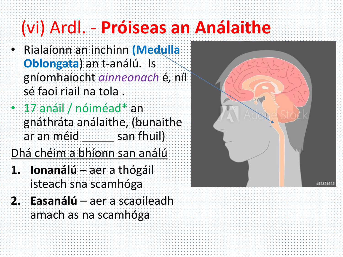## (vi) Ardl. - **Próiseas an Análaithe**

- Rialaíonn an inchinn **(Medulla Oblongata**) an t-análú. Is gníomhaíocht *ainneonach* é*,* níl sé faoi riail na tola .
- 17 anáil / nóiméad\* an gnáthráta análaithe, (bunaithe ar an méid **san fhuil**)

Dhá chéim a bhíonn san análú

- **1. Ionanálú** aer a thógáil isteach sna scamhóga
- **2. Easanálú** aer a scaoileadh amach as na scamhóga

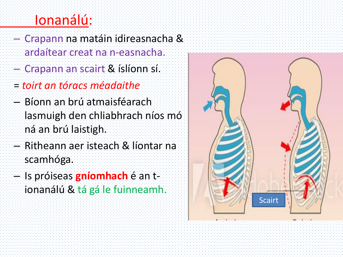#### Ionanálú:

- Crapann na matáin idireasnacha & ardaítear creat na n-easnacha.
- Crapann an scairt & íslíonn sí.
- = *toirt an tóracs méadaithe*
- Bíonn an brú atmaisféarach lasmuigh den chliabhrach níos mó ná an brú laistigh.
- Ritheann aer isteach & líontar na scamhóga.
- Is próiseas **gníomhach** é an tionanálú & tá gá le fuinneamh.

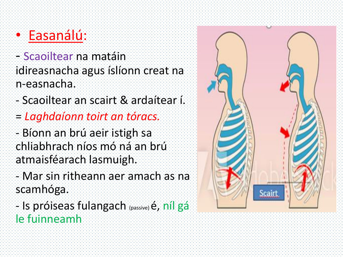#### • Easanálú:

- Scaoiltear na matáin idireasnacha agus íslíonn creat na n-easnacha.

- Scaoiltear an scairt & ardaítear í.
- = *Laghdaíonn toirt an tóracs.*

- Bíonn an brú aeir istigh sa chliabhrach níos mó ná an brú atmaisféarach lasmuigh.

- Mar sin ritheann aer amach as na scamhóga.

- Is próiseas fulangach (passive) é, níl gá le fuinneamh

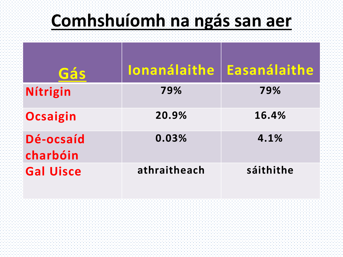### **Comhshuíomh na ngás san aer**

| Gás                   | <b>Ionanálaithe</b> | <b>Easanálaithe</b> |
|-----------------------|---------------------|---------------------|
| Nítrigin              | 79%                 | 79%                 |
| Ocsaigin              | 20.9%               | 16.4%               |
| Dé-ocsaíd<br>charbóin | 0.03%               | 4.1%                |
| <b>Gal Uisce</b>      | athraitheach        | sáithithe           |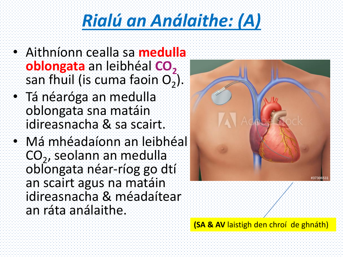## *Rialú an Análaithe: (A)*

- Aithníonn cealla sa **medulla oblongata** an leibhéal **CO**<sub>2</sub> san fhuil (is cuma faoin O $_2^{}$ ).
- Tá néaróga an medulla oblongata sna matáin idireasnacha & sa scairt.
- Má mhéadaíonn an leibhéal CO<sub>2</sub>, seolann an medulla oblongata néar-ríog go dtí an scairt agus na matáin idireasnacha & méadaítear an ráta análaithe.



**(SA & AV** laistigh den chroí de ghnáth)